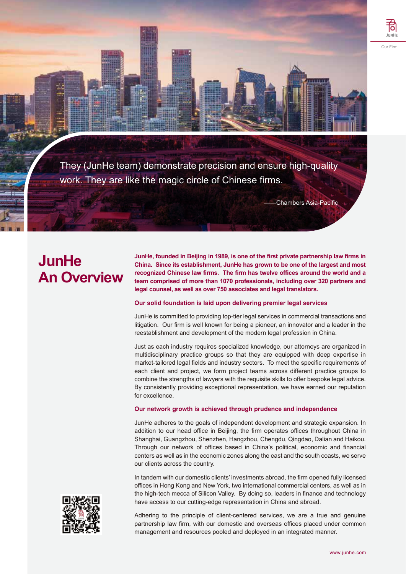

They (JunHe team) demonstrate precision and ensure high-quality work. They are like the magic circle of Chinese firms.

Chambers Asia-Pacific

# **JunHe An Overview**

**JunHe, founded in Beijing in 1989, is one of the first private partnership law firms in China. Since its establishment, JunHe has grown to be one of the largest and most recognized Chinese law firms. The firm has twelve offices around the world and a team comprised of more than 1070 professionals, including over 320 partners and legal counsel, as well as over 750 associates and legal translators.**

## **Our solid foundation is laid upon delivering premier legal services**

JunHe is committed to providing top-tier legal services in commercial transactions and litigation. Our firm is well known for being a pioneer, an innovator and a leader in the reestablishment and development of the modern legal profession in China.

Just as each industry requires specialized knowledge, our attorneys are organized in multidisciplinary practice groups so that they are equipped with deep expertise in market-tailored legal fields and industry sectors. To meet the specific requirements of each client and project, we form project teams across different practice groups to combine the strengths of lawyers with the requisite skills to offer bespoke legal advice. By consistently providing exceptional representation, we have earned our reputation for excellence.

### **Our network growth is achieved through prudence and independence**

JunHe adheres to the goals of independent development and strategic expansion. In addition to our head office in Beijing, the firm operates offices throughout China in Shanghai, Guangzhou, Shenzhen, Hangzhou, Chengdu, Qingdao, Dalian and Haikou. Through our network of offices based in China's political, economic and financial centers as well as in the economic zones along the east and the south coasts, we serve our clients across the country.

In tandem with our domestic clients' investments abroad, the firm opened fully licensed offices in Hong Kong and New York, two international commercial centers, as well as in the high-tech mecca of Silicon Valley. By doing so, leaders in finance and technology have access to our cutting-edge representation in China and abroad.

Adhering to the principle of client-centered services, we are a true and genuine partnership law firm, with our domestic and overseas offices placed under common management and resources pooled and deployed in an integrated manner.